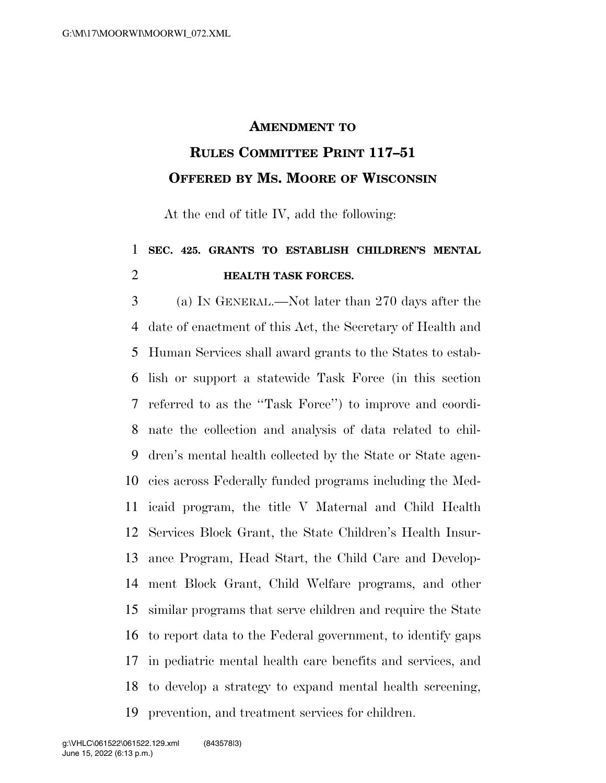## **AMENDMENT TO**

## **RULES COMMITTEE PRINT 117–51 OFFERED BY MS. MOORE OF WISCONSIN**

At the end of title IV, add the following:

## **SEC. 425. GRANTS TO ESTABLISH CHILDREN'S MENTAL HEALTH TASK FORCES.**

 (a) IN GENERAL.—Not later than 270 days after the date of enactment of this Act, the Secretary of Health and Human Services shall award grants to the States to estab- lish or support a statewide Task Force (in this section referred to as the ''Task Force'') to improve and coordi- nate the collection and analysis of data related to chil- dren's mental health collected by the State or State agen- cies across Federally funded programs including the Med- icaid program, the title V Maternal and Child Health Services Block Grant, the State Children's Health Insur- ance Program, Head Start, the Child Care and Develop- ment Block Grant, Child Welfare programs, and other similar programs that serve children and require the State to report data to the Federal government, to identify gaps in pediatric mental health care benefits and services, and to develop a strategy to expand mental health screening, prevention, and treatment services for children.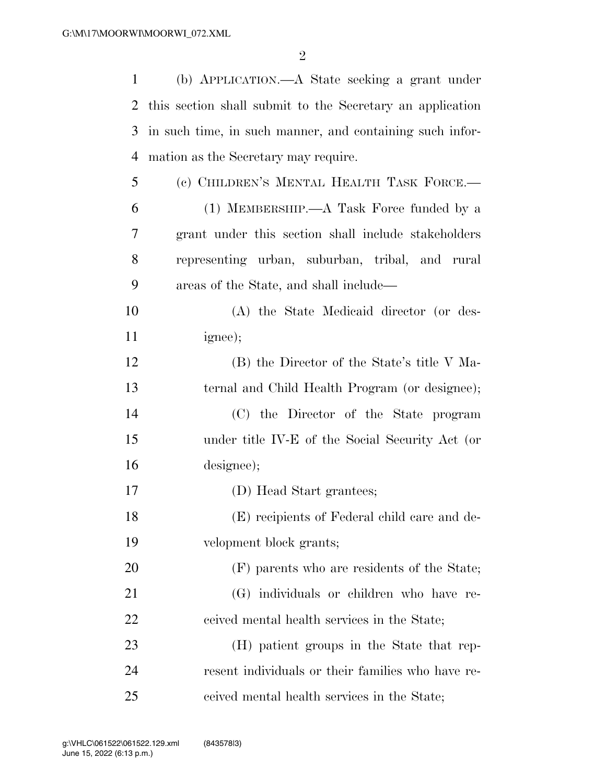| 1              | (b) $APPLICATION. - A State seeking a grant under$        |
|----------------|-----------------------------------------------------------|
| $\overline{2}$ | this section shall submit to the Secretary an application |
| 3              | in such time, in such manner, and containing such infor-  |
| $\overline{4}$ | mation as the Secretary may require.                      |
| 5              | (c) CHILDREN'S MENTAL HEALTH TASK FORCE.-                 |
| 6              | (1) MEMBERSHIP.—A Task Force funded by a                  |
| 7              | grant under this section shall include stakeholders       |
| 8              | representing urban, suburban, tribal, and rural           |
| 9              | areas of the State, and shall include—                    |
| 10             | (A) the State Medicaid director (or des-                  |
| 11             | ignee);                                                   |
| 12             | (B) the Director of the State's title V Ma-               |
| 13             | ternal and Child Health Program (or designee);            |
| 14             | (C) the Director of the State program                     |
| 15             | under title IV-E of the Social Security Act (or           |
| 16             | designee);                                                |
| 17             | (D) Head Start grantees;                                  |
| 18             | (E) recipients of Federal child care and de-              |
| 19             | velopment block grants;                                   |
| 20             | (F) parents who are residents of the State;               |
| 21             | (G) individuals or children who have re-                  |
| 22             | ceived mental health services in the State;               |
| 23             | (H) patient groups in the State that rep-                 |
| 24             | resent individuals or their families who have re-         |
| 25             | ceived mental health services in the State;               |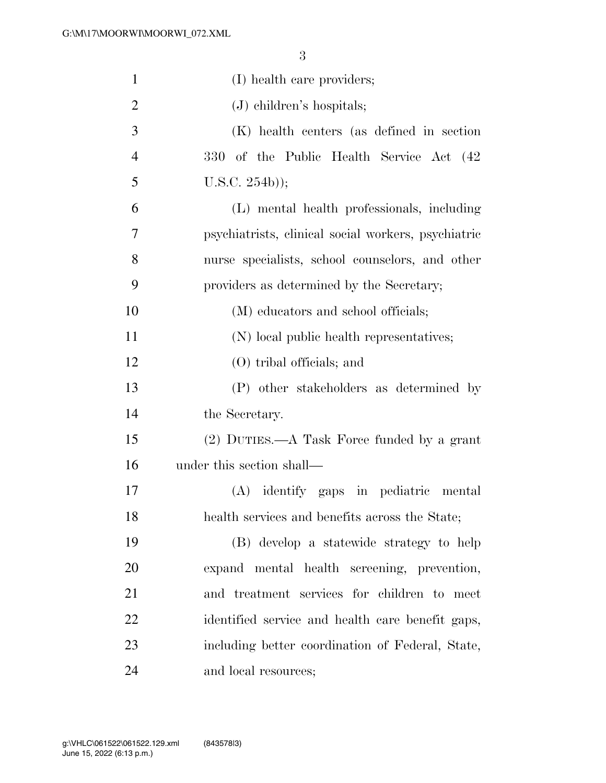| $\mathbf{1}$   | (I) health care providers;                          |
|----------------|-----------------------------------------------------|
| $\overline{2}$ | $(J)$ children's hospitals;                         |
| 3              | (K) health centers (as defined in section           |
| $\overline{4}$ | 330 of the Public Health Service Act (42)           |
| 5              | $U.S.C. 254b$ );                                    |
| 6              | (L) mental health professionals, including          |
| 7              | psychiatrists, clinical social workers, psychiatric |
| 8              | nurse specialists, school counselors, and other     |
| 9              | providers as determined by the Secretary;           |
| 10             | (M) educators and school officials;                 |
| 11             | (N) local public health representatives;            |
| 12             | $(O)$ tribal officials; and                         |
| 13             | (P) other stakeholders as determined by             |
| 14             | the Secretary.                                      |
| 15             | $(2)$ DUTIES.—A Task Force funded by a grant        |
| 16             | under this section shall—                           |
| 17             | (A) identify gaps in pediatric mental               |
| 18             | health services and benefits across the State;      |
| 19             | (B) develop a statewide strategy to help            |
| 20             | expand mental health screening, prevention,         |
| 21             | and treatment services for children to meet         |
| 22             | identified service and health care benefit gaps,    |
| 23             | including better coordination of Federal, State,    |
| 24             | and local resources;                                |